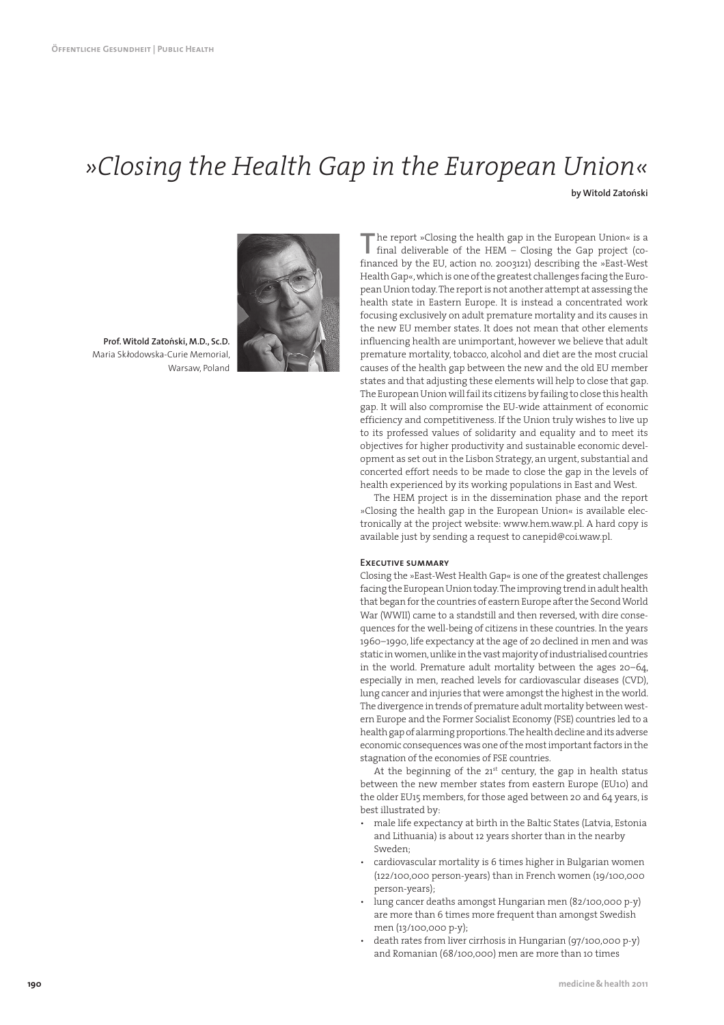# *»Closing the Health Gap in the European Union«*

**by Witold Zatoński** 



Prof. Witold Zatoński, M.D., Sc.D. Maria Skłodowska-Curie Memorial, Warsaw, Poland

The report »Closing the health gap in the European Union« is a final deliverable of the HEM – Closing the Gap project (cofinanced by the EU, action no. 2003121) describing the »East-West he report »Closing the health gap in the European Union« is a final deliverable of the HEM – Closing the Gap project (co-Health Gap«, which is one of the greatest challenges facing the European Union today. The report is not another attempt at assessing the health state in Eastern Europe. It is instead a concentrated work focusing exclusively on adult premature mortality and its causes in the new EU member states. It does not mean that other elements influencing health are unimportant, however we believe that adult premature mortality, tobacco, alcohol and diet are the most crucial causes of the health gap between the new and the old EU member states and that adjusting these elements will help to close that gap. The European Union will fail its citizens by failing to close this health gap. It will also compromise the EU-wide attainment of economic efficiency and competitiveness. If the Union truly wishes to live up to its professed values of solidarity and equality and to meet its objectives for higher productivity and sustainable economic development as set out in the Lisbon Strategy, an urgent, substantial and concerted effort needs to be made to close the gap in the levels of health experienced by its working populations in East and West.

The HEM project is in the dissemination phase and the report »Closing the health gap in the European Union« is available electronically at the project website: www.hem.waw.pl. A hard copy is available just by sending a request to canepid@coi.waw.pl.

#### **Executive summary**

Closing the »East-West Health Gap« is one of the greatest challenges facing the European Union today. The improving trend in adult health that began for the countries of eastern Europe after the Second World War (WWII) came to a standstill and then reversed, with dire consequences for the well-being of citizens in these countries. In the years 1960–1990, life expectancy at the age of 20 declined in men and was static in women, unlike in the vast majority of industrialised countries in the world. Premature adult mortality between the ages 20–64, especially in men, reached levels for cardiovascular diseases (CVD), lung cancer and injuries that were amongst the highest in the world. The divergence in trends of premature adult mortality between western Europe and the Former Socialist Economy (FSE) countries led to a health gap of alarming proportions. The health decline and its adverse economic consequences was one of the most important factors in the stagnation of the economies of FSE countries.

At the beginning of the  $21<sup>st</sup>$  century, the gap in health status between the new member states from eastern Europe (EU10) and the older EU15 members, for those aged between 20 and 64 years, is best illustrated by:

- male life expectancy at birth in the Baltic States (Latvia, Estonia and Lithuania) is about 12 years shorter than in the nearby Sweden;
- cardiovascular mortality is 6 times higher in Bulgarian women (122/100,000 person-years) than in French women (19/100,000 person-years);
- lung cancer deaths amongst Hungarian men (82/100,000 p-y) are more than 6 times more frequent than amongst Swedish men (13/100,000 p-y);
- death rates from liver cirrhosis in Hungarian (97/100,000 p-y) and Romanian (68/100,000) men are more than 10 times